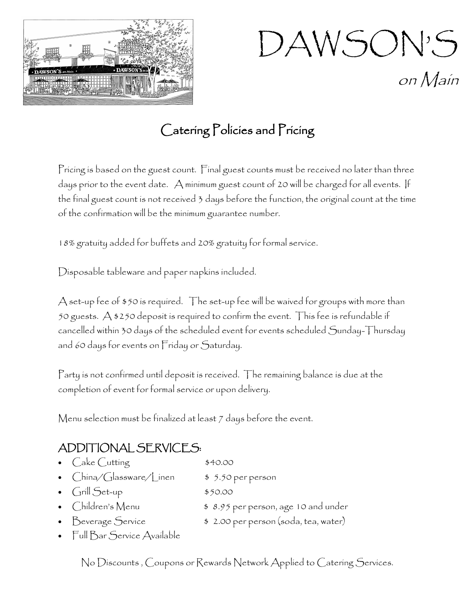

DAWSON'S on Main

## Catering Policies and Pricing

Pricing is based on the guest count. Final guest counts must be received no later than three days prior to the event date. A minimum guest count of 20 will be charged for all events. If the final guest count is not received 3 days before the function, the original count at the time of the confirmation will be the minimum guarantee number.

18% gratuity added for buffets and 20% gratuity for formal service.

Disposable tableware and paper napkins included.

A set-up fee of \$50 is required. The set-up fee will be waived for groups with more than 50 guests. A \$250 deposit is required to confirm the event. This fee is refundable if cancelled within 30 days of the scheduled event for events scheduled Sunday-Thursday and 60 days for events on Friday or Saturday.

Party is not confirmed until deposit is received. The remaining balance is due at the completion of event for formal service or upon delivery.

Menu selection must be finalized at least 7 days before the event.

## ADDITIONAL SERVICES:

Cake Cutting \$40.00 China/Glassware/Linen \$ 5.50 per person •  $Grill Set-up$   $$50.00$ • Children's Menu **\$8.95** per person, age 10 and under • Beverage Service \$ 2.00 per person (soda, tea, water) • Full Bar Service Available

No Discounts , Coupons or Rewards Network Applied to Catering Services.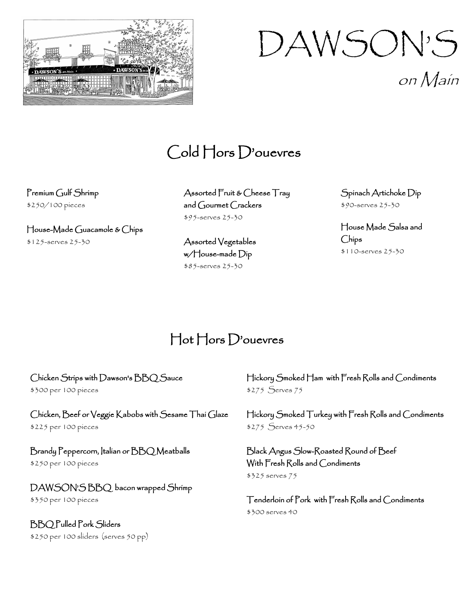

on Main

## Cold Hors D'ouevres

Premium Gulf Shrimp \$250/100 pieces

House-Made Guacamole & Chips \$125-serves 25-30

Assorted Fruit & Cheese Tray and Gourmet Crackers \$95-serves 25-30

Assorted Vegetables w/House-made Dip \$85-serves 25-30

Spinach Artichoke Dip \$90-serves 25-30

House Made Salsa and Chips \$110-serves 25-30

## Hot Hors D'ouevres

#### Chicken Strips with Dawson's BBQ Sauce

\$300 per 100 pieces

#### Chicken, Beef or Veggie Kabobs with Sesame Thai Glaze

\$225 per 100 pieces

Brandy Peppercorn, Italian or BBQ Meatballs \$250 per 100 pieces

#### DAWSON'S BBQ bacon wrapped Shrimp

\$350 per 100 pieces

BBQ Pulled Pork Sliders \$250 per 100 sliders (serves 50 pp) Hickory Smoked Ham with Fresh Rolls and Condiments \$275 Serves 75

Hickory Smoked Turkey with Fresh Rolls and Condiments \$275 Serves 45-50

Black Angus Slow-Roasted Round of Beef With Fresh Rolls and Condiments \$325 serves 75

Tenderloin of Pork with Fresh Rolls and Condiments \$300 serves 40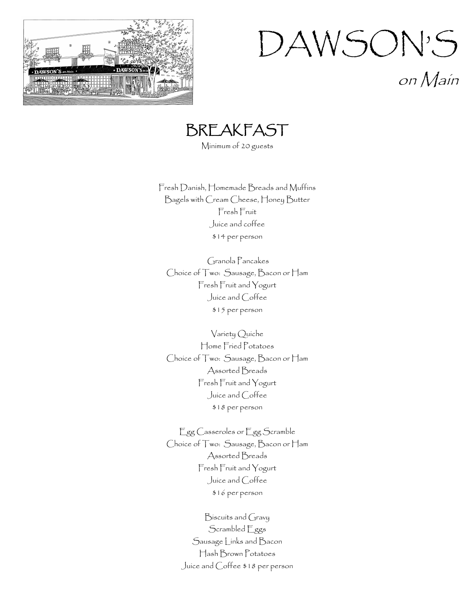





Minimum of 20 guests

Fresh Danish, Homemade Breads and Muffins Bagels with Cream Cheese, Honey Butter Fresh Fruit Juice and coffee \$14 per person

Granola Pancakes Choice of Two: Sausage, Bacon or Ham Fresh Fruit and Yogurt Juice and Coffee \$15 per person

Variety Quiche Home Fried Potatoes Choice of Two: Sausage, Bacon or Ham Assorted Breads Fresh Fruit and Yogurt Juice and Coffee \$18 per person

Egg Casseroles or Egg Scramble Choice of Two: Sausage, Bacon or Ham Assorted Breads Fresh Fruit and Yogurt Juice and Coffee \$16 per person

Biscuits and Gravy Scrambled Eggs Sausage Links and Bacon Hash Brown Potatoes Juice and Coffee \$18 per person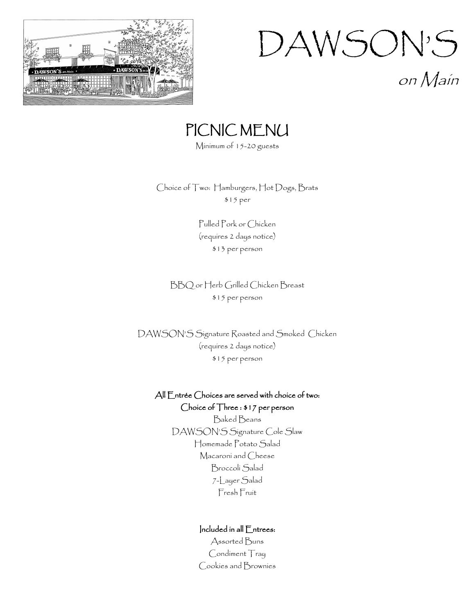

on Main

## PICNIC MENU

Minimum of 15-20 guests

Choice of Two: Hamburgers, Hot Dogs, Brats \$15 per

> Pulled Pork or Chicken (requires 2 days notice) \$13 per person

BBQ or Herb Grilled Chicken Breast \$15 per person

DAWSON'S Signature Roasted and Smoked Chicken (requires 2 days notice) \$15 per person

#### All Entrée Choices are served with choice of two: Choice of Three : \$17 per person

Baked Beans DAWSON'S Signature Cole Slaw Homemade Potato Salad Macaroni and Cheese Broccoli Salad 7-Layer Salad Fresh Fruit

#### Included in all Entrees:

Assorted Buns Condiment Tray Cookies and Brownies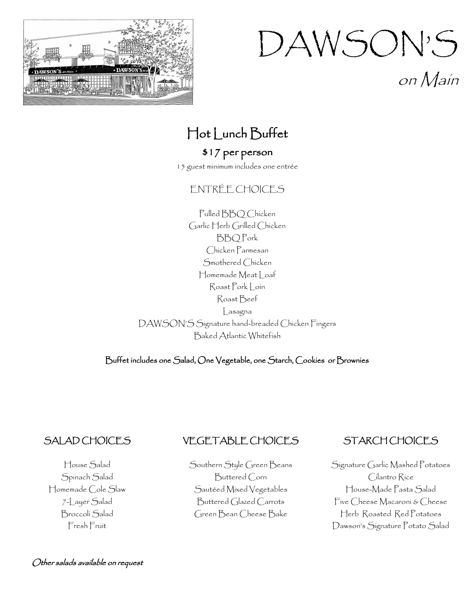

on Main

## Hot Lunch Buffet

### \$17 per person

15 guest minimum includes one entrée

#### ENTRÉE CHOICES

Pulled BBQ Chicken Garlic Herb Grilled Chicken BBQ Pork Chicken Parmesan Smothered Chicken Homemade Meat | oaf Roast Pork Loin Roast Beef Lasagna DAWSON'S Signature hand-breaded Chicken Fingers Baked Atlantic Whitefish

Buffet includes one Salad, One Vegetable, one Starch, Cookies or Brownies

#### SALAD CHOICES

## VEGETABLE CHOICES

House Salad Spinach Salad Homemade Cole Slaw 7-Layer Salad Broccoli Salad Fresh Fruit

#### Other salads available on request

Southern Style Green Beans Buttered Corn Sautéed Mixed Vegetables Buttered Glazed Carrots Green Bean Cheese Bake

#### STARCH CHOICES

Signature Garlic Mashed Potatoes Cilantro Rice House-Made Pasta Salad Five Cheese Macaroni & Cheese Herb Roasted Red Potatoes Dawson's Signature Potato Salad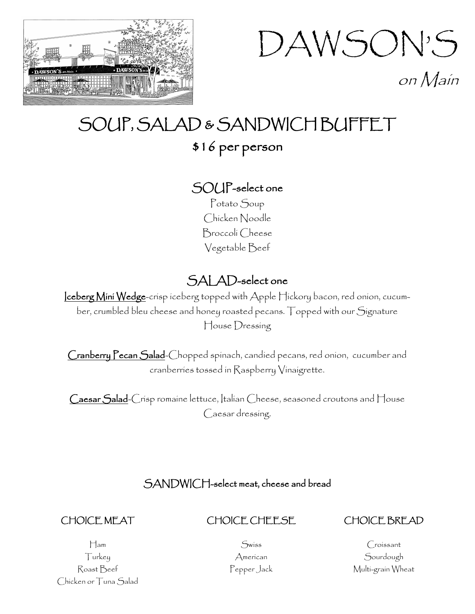



## SOUP, SALAD & SANDWICH BUFFET

## \$16 per person

## SOUP-select one

Potato Soup Chicken Noodle Broccoli Cheese Vegetable Beef

## SALAD-select one

Iceberg Mini Wedge-crisp iceberg topped with Apple Hickory bacon, red onion, cucumber, crumbled bleu cheese and honey roasted pecans. Topped with our Signature House Dressing

Cranberry Pecan Salad-Chopped spinach, candied pecans, red onion, cucumber and cranberries tossed in Raspberry Vinaigrette.

Caesar Salad-Crisp romaine lettuce, Italian Cheese, seasoned croutons and House Caesar dressing.

### SANDWICH-select meat, cheese and bread

#### CHOICE MEAT

#### CHOICE CHEESE

#### CHOICE BREAD

Ham Turkey Roast Beef Chicken or Tuna Salad

Swiss American Pepper Jack

Croissant Sourdough Multi-grain Wheat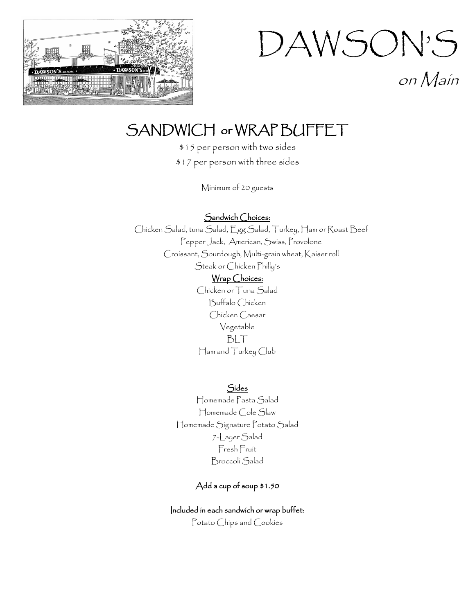

on Main

## SANDWICH or WRAP BUFFET

\$15 per person with two sides \$17 per person with three sides

Minimum of 20 guests

Sandwich Choices:

Chicken Salad, tuna Salad, Egg Salad, Turkey, Ham or Roast Beef Pepper Jack, American, Swiss, Provolone Croissant, Sourdough, Multi-grain wheat, Kaiser roll Steak or Chicken Philly's Wrap Choices:

Chicken or Tuna Salad Buffalo Chicken Chicken Caesar Vegetable BLT Ham and Turkey Club

Sides

Homemade Pasta Salad Homemade Cole Slaw Homemade Signature Potato Salad 7-Layer Salad Fresh Fruit Broccoli Salad

#### Add a cup of soup \$1.50

#### Included in each sandwich or wrap buffet:

Potato Chips and Cookies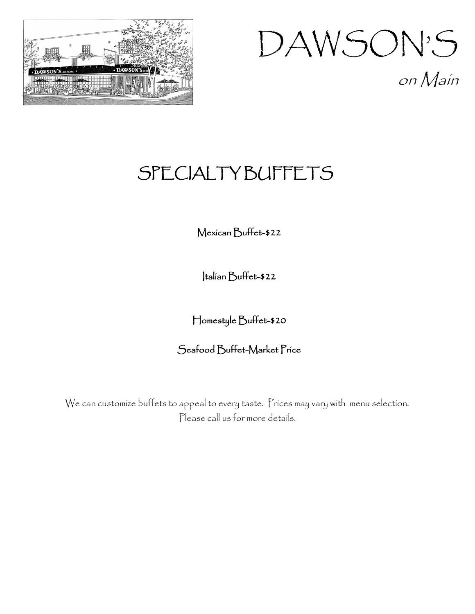

## DAWSON'S on Main

## **SPECIALTY BUFFETS**

### Mexican Buffet-\$22

Italian Buffet-\$22

Homestyle Buffet-\$20

### Seafood Buffet-Market Price

We can customize buffets to appeal to every taste. Prices may vary with menu selection. Please call us for more details.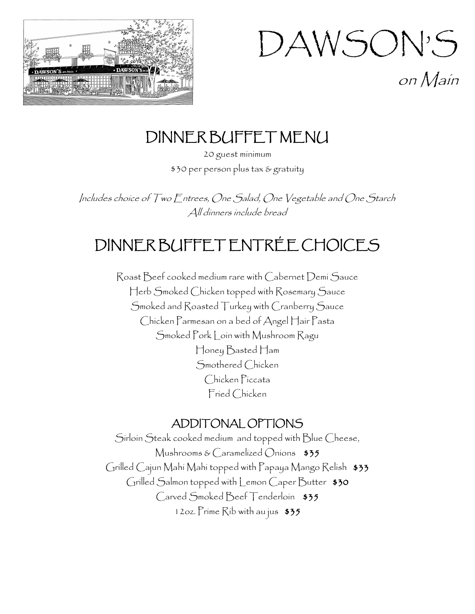

on Main

## DINNER BUFFET MENU

20 guest minimum \$30 per person plus tax & gratuity

Includes choice of Two Entrees, One Salad, One Vegetable and One Starch All dinners include bread

## DINNER BUFFET ENTRÉE CHOICES

Roast Beef cooked medium rare with Cabernet Demi Sauce Herb Smoked Chicken topped with Rosemary Sauce Smoked and Roasted Turkey with Cranberry Sauce Chicken Parmesan on a bed of Angel Hair Pasta Smoked Pork Loin with Mushroom Ragu Honey Basted Ham Smothered Chicken Chicken Piccata Fried Chicken

### ADDITONAL OPTIONS

Sirloin Steak cooked medium and topped with Blue Cheese, Mushrooms & Caramelized Onions  $$35$ Grilled Cajun Mahi Mahi topped with Papaya Mango Relish \$33 Grilled Salmon topped with Lemon Caper Butter \$30 Carved Smoked Beef Tenderloin \$35 12oz. Prime Rib with au jus \$35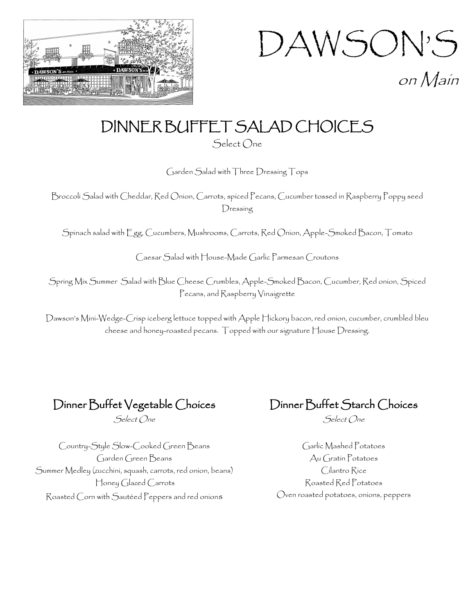

on Main

## DINNER BUFFET SALAD CHOICES

Select One

Garden Salad with Three Dressing Tops

Broccoli Salad with Cheddar, Red Onion, Carrots, spiced Pecans, Cucumber tossed in Raspberry Poppy seed Dressing

Spinach salad with Egg, Cucumbers, Mushrooms, Carrots, Red Onion, Apple-Smoked Bacon, Tomato

Caesar Salad with House-Made Garlic Parmesan Croutons

Spring Mix Summer Salad with Blue Cheese Crumbles, Apple-Smoked Bacon, Cucumber, Red onion, Spiced Pecans, and Raspberry Vinaigrette

Dawson's Mini-Wedge-Crisp iceberg lettuce topped with Apple Hickory bacon, red onion, cucumber, crumbled bleu cheese and honey-roasted pecans. Topped with our signature House Dressing.

Dinner Buffet Vegetable Choices

Select One

Dinner Buffet Starch Choices

Select One

Country-Style Slow-Cooked Green Beans Garden Green Beans Summer Medley (zucchini, squash, carrots, red onion, beans) Honey Glazed Carrots Roasted Corn with Sautéed Peppers and red onions

Garlic Mashed Potatoes Au Gratin Potatoes Cilantro Rice Roasted Red Potatoes Oven roasted potatoes, onions, peppers